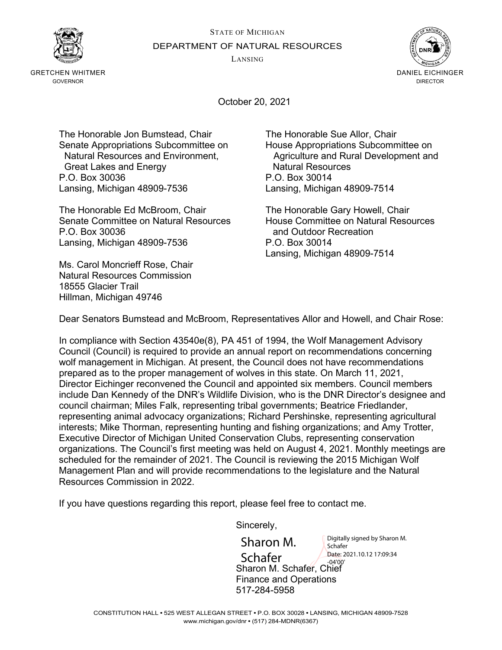LANSING



GRETCHEN WHITMER GOVERNOR



October 20, 2021

The Honorable Jon Bumstead, Chair The Honorable Sue Allor, Chair Great Lakes and Energy **Natural Resources**<br>C.O. Box 30036 100 200 200 200 2014 P.O. Box 30036 Lansing, Michigan 48909-7536 Lansing, Michigan 48909-7514

The Honorable Ed McBroom, Chair The Honorable Gary Howell, Chair Senate Committee on Natural Resources House Committee on Natural Resources P.O. Box 30036 and Outdoor Recreation Lansing, Michigan 48909-7536 P.O. Box 30014

Ms. Carol Moncrieff Rose, Chair Natural Resources Commission 18555 Glacier Trail Hillman, Michigan 49746

Senate Appropriations Subcommittee on House Appropriations Subcommittee on Natural Resources and Environment, Agriculture and Rural Development and

Lansing, Michigan 48909-7514

Dear Senators Bumstead and McBroom, Representatives Allor and Howell, and Chair Rose:

In compliance with Section 43540e(8), PA 451 of 1994, the Wolf Management Advisory Council (Council) is required to provide an annual report on recommendations concerning wolf management in Michigan. At present, the Council does not have recommendations prepared as to the proper management of wolves in this state. On March 11, 2021, Director Eichinger reconvened the Council and appointed six members. Council members include Dan Kennedy of the DNR's Wildlife Division, who is the DNR Director's designee and council chairman; Miles Falk, representing tribal governments; Beatrice Friedlander, representing animal advocacy organizations; Richard Pershinske, representing agricultural interests; Mike Thorman, representing hunting and fishing organizations; and Amy Trotter, Executive Director of Michigan United Conservation Clubs, representing conservation organizations. The Council's first meeting was held on August 4, 2021. Monthly meetings are scheduled for the remainder of 2021. The Council is reviewing the 2015 Michigan Wolf Management Plan and will provide recommendations to the legislature and the Natural Resources Commission in 2022.

If you have questions regarding this report, please feel free to contact me.

Sincerely,

Sharon M. Schafer, Chief Finance and Operations 517-284-5958 Sharon M. Schafer Digitally signed by Sharon M. Schafer Date: 2021.10.12 17:09:34 -04'00'